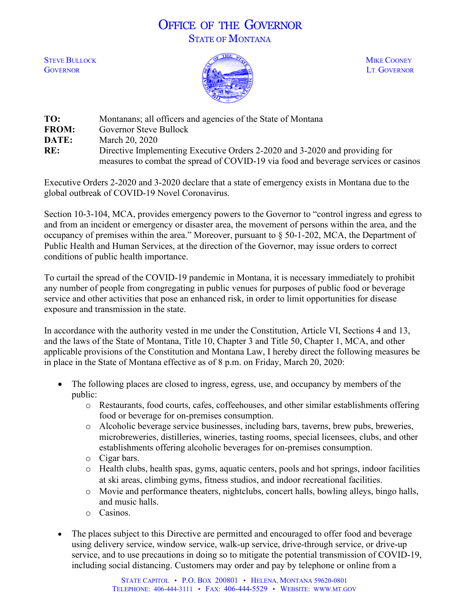## OFFICE OF THE GOVERNOR STATE OF MONTANA



| TO:          | Montanans; all officers and agencies of the State of Montana                        |
|--------------|-------------------------------------------------------------------------------------|
| <b>FROM:</b> | Governor Steve Bullock                                                              |
| DATE:        | March 20, 2020                                                                      |
| RE:          | Directive Implementing Executive Orders 2-2020 and 3-2020 and providing for         |
|              | measures to combat the spread of COVID-19 via food and beverage services or casinos |

Executive Orders 2-2020 and 3-2020 declare that a state of emergency exists in Montana due to the global outbreak of COVID-19 Novel Coronavirus.

Section 10-3-104, MCA, provides emergency powers to the Governor to "control ingress and egress to and from an incident or emergency or disaster area, the movement of persons within the area, and the occupancy of premises within the area." Moreover, pursuant to § 50-1-202, MCA, the Department of Public Health and Human Services, at the direction of the Governor, may issue orders to correct conditions of public health importance.

To curtail the spread of the COVID-19 pandemic in Montana, it is necessary immediately to prohibit any number of people from congregating in public venues for purposes of public food or beverage service and other activities that pose an enhanced risk, in order to limit opportunities for disease exposure and transmission in the state.

In accordance with the authority vested in me under the Constitution, Article VI, Sections 4 and 13, and the laws of the State of Montana, Title 10, Chapter 3 and Title 50, Chapter 1, MCA, and other applicable provisions of the Constitution and Montana Law, I hereby direct the following measures be in place in the State of Montana effective as of 8 p.m. on Friday, March 20, 2020:

- The following places are closed to ingress, egress, use, and occupancy by members of the public:
	- o Restaurants, food courts, cafes, coffeehouses, and other similar establishments offering food or beverage for on-premises consumption.
	- o Alcoholic beverage service businesses, including bars, taverns, brew pubs, breweries, microbreweries, distilleries, wineries, tasting rooms, special licensees, clubs, and other establishments offering alcoholic beverages for on-premises consumption.
	- o Cigar bars.
	- o Health clubs, health spas, gyms, aquatic centers, pools and hot springs, indoor facilities at ski areas, climbing gyms, fitness studios, and indoor recreational facilities.
	- o Movie and performance theaters, nightclubs, concert halls, bowling alleys, bingo halls, and music halls.
	- o Casinos.
- The places subject to this Directive are permitted and encouraged to offer food and beverage using delivery service, window service, walk-up service, drive-through service, or drive-up service, and to use precautions in doing so to mitigate the potential transmission of COVID-19, including social distancing. Customers may order and pay by telephone or online from a